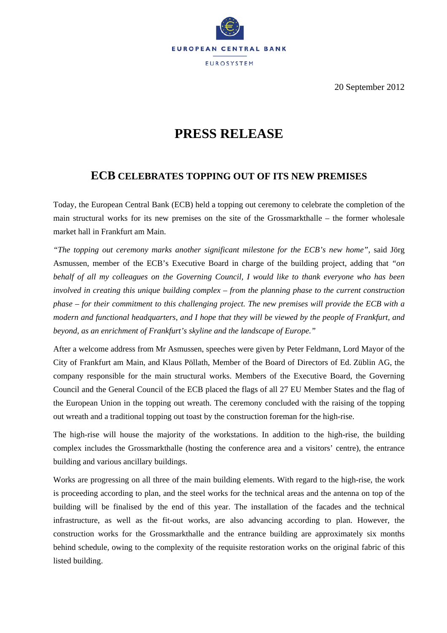

20 September 2012

## **PRESS RELEASE**

## **ECB CELEBRATES TOPPING OUT OF ITS NEW PREMISES**

Today, the European Central Bank (ECB) held a topping out ceremony to celebrate the completion of the main structural works for its new premises on the site of the Grossmarkthalle – the former wholesale market hall in Frankfurt am Main.

*"The topping out ceremony marks another significant milestone for the ECB's new home",* said Jörg Asmussen, member of the ECB's Executive Board in charge of the building project, adding that *"on behalf of all my colleagues on the Governing Council, I would like to thank everyone who has been involved in creating this unique building complex – from the planning phase to the current construction phase – for their commitment to this challenging project. The new premises will provide the ECB with a modern and functional headquarters, and I hope that they will be viewed by the people of Frankfurt, and beyond, as an enrichment of Frankfurt's skyline and the landscape of Europe."*

After a welcome address from Mr Asmussen, speeches were given by Peter Feldmann, Lord Mayor of the City of Frankfurt am Main, and Klaus Pöllath, Member of the Board of Directors of Ed. Züblin AG, the company responsible for the main structural works. Members of the Executive Board, the Governing Council and the General Council of the ECB placed the flags of all 27 EU Member States and the flag of the European Union in the topping out wreath. The ceremony concluded with the raising of the topping out wreath and a traditional topping out toast by the construction foreman for the high-rise.

The high-rise will house the majority of the workstations. In addition to the high-rise, the building complex includes the Grossmarkthalle (hosting the conference area and a visitors' centre), the entrance building and various ancillary buildings.

Works are progressing on all three of the main building elements. With regard to the high-rise, the work is proceeding according to plan, and the steel works for the technical areas and the antenna on top of the building will be finalised by the end of this year. The installation of the facades and the technical infrastructure, as well as the fit-out works, are also advancing according to plan. However, the construction works for the Grossmarkthalle and the entrance building are approximately six months behind schedule, owing to the complexity of the requisite restoration works on the original fabric of this listed building.